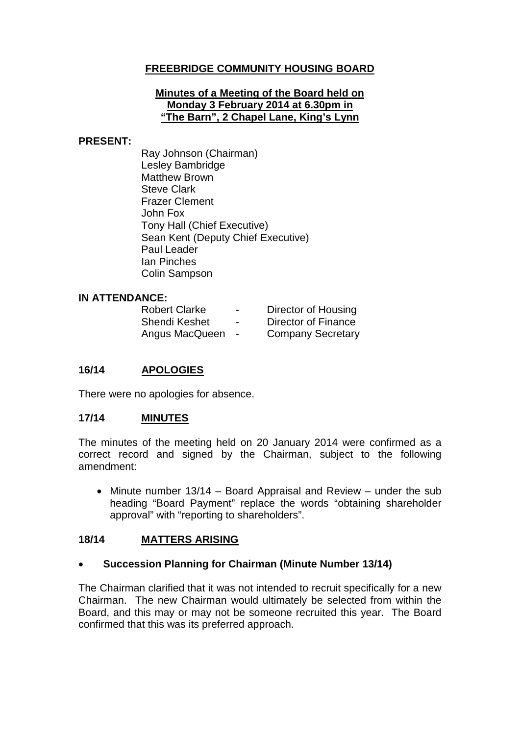### **FREEBRIDGE COMMUNITY HOUSING BOARD**

#### **Minutes of a Meeting of the Board held on Monday 3 February 2014 at 6.30pm in "The Barn", 2 Chapel Lane, King's Lynn**

#### **PRESENT:**

Ray Johnson (Chairman) Lesley Bambridge Matthew Brown Steve Clark Frazer Clement John Fox Tony Hall (Chief Executive) Sean Kent (Deputy Chief Executive) Paul Leader Ian Pinches Colin Sampson

### **IN ATTENDANCE:**

| <b>Robert Clarke</b> | -                        | Director of Housing      |
|----------------------|--------------------------|--------------------------|
| Shendi Keshet        | $\overline{\phantom{0}}$ | Director of Finance      |
| Angus MacQueen       |                          | <b>Company Secretary</b> |

### **16/14 APOLOGIES**

There were no apologies for absence.

### **17/14 MINUTES**

The minutes of the meeting held on 20 January 2014 were confirmed as a correct record and signed by the Chairman, subject to the following amendment:

• Minute number 13/14 – Board Appraisal and Review – under the sub heading "Board Payment" replace the words "obtaining shareholder approval" with "reporting to shareholders".

### **18/14 MATTERS ARISING**

### • **Succession Planning for Chairman (Minute Number 13/14)**

The Chairman clarified that it was not intended to recruit specifically for a new Chairman. The new Chairman would ultimately be selected from within the Board, and this may or may not be someone recruited this year. The Board confirmed that this was its preferred approach.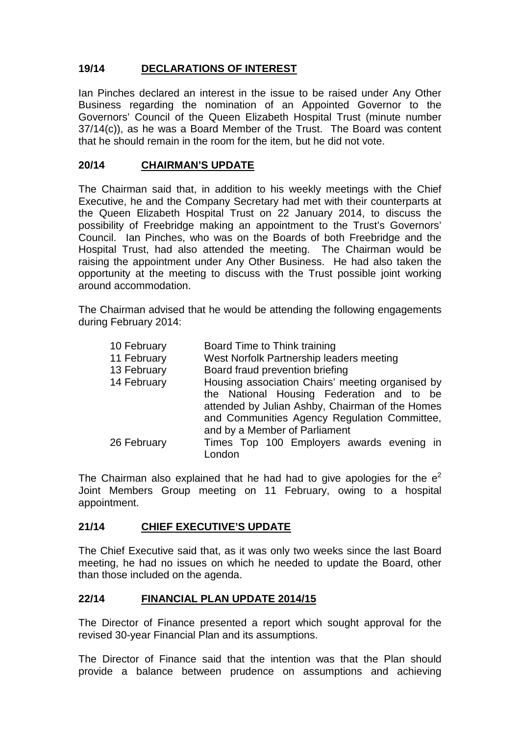# **19/14 DECLARATIONS OF INTEREST**

Ian Pinches declared an interest in the issue to be raised under Any Other Business regarding the nomination of an Appointed Governor to the Governors' Council of the Queen Elizabeth Hospital Trust (minute number 37/14(c)), as he was a Board Member of the Trust. The Board was content that he should remain in the room for the item, but he did not vote.

### **20/14 CHAIRMAN'S UPDATE**

The Chairman said that, in addition to his weekly meetings with the Chief Executive, he and the Company Secretary had met with their counterparts at the Queen Elizabeth Hospital Trust on 22 January 2014, to discuss the possibility of Freebridge making an appointment to the Trust's Governors' Council. Ian Pinches, who was on the Boards of both Freebridge and the Hospital Trust, had also attended the meeting. The Chairman would be raising the appointment under Any Other Business. He had also taken the opportunity at the meeting to discuss with the Trust possible joint working around accommodation.

The Chairman advised that he would be attending the following engagements during February 2014:

| 10 February | Board Time to Think training                                                                                                                 |
|-------------|----------------------------------------------------------------------------------------------------------------------------------------------|
| 11 February | West Norfolk Partnership leaders meeting                                                                                                     |
| 13 February | Board fraud prevention briefing                                                                                                              |
| 14 February | Housing association Chairs' meeting organised by                                                                                             |
|             | the National Housing Federation and to be<br>attended by Julian Ashby, Chairman of the Homes<br>and Communities Agency Regulation Committee, |
|             | and by a Member of Parliament                                                                                                                |
| 26 February | Times Top 100 Employers awards evening in<br>London                                                                                          |

The Chairman also explained that he had had to give apologies for the  $e^2$ Joint Members Group meeting on 11 February, owing to a hospital appointment.

### **21/14 CHIEF EXECUTIVE'S UPDATE**

The Chief Executive said that, as it was only two weeks since the last Board meeting, he had no issues on which he needed to update the Board, other than those included on the agenda.

### **22/14 FINANCIAL PLAN UPDATE 2014/15**

The Director of Finance presented a report which sought approval for the revised 30-year Financial Plan and its assumptions.

The Director of Finance said that the intention was that the Plan should provide a balance between prudence on assumptions and achieving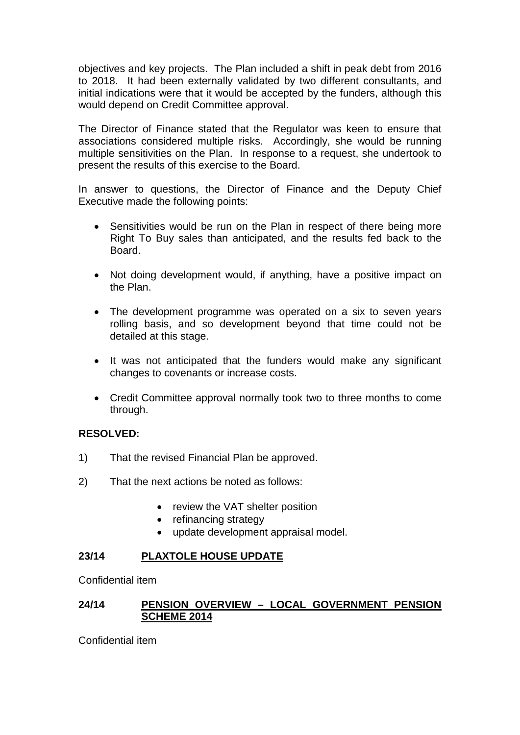objectives and key projects. The Plan included a shift in peak debt from 2016 to 2018. It had been externally validated by two different consultants, and initial indications were that it would be accepted by the funders, although this would depend on Credit Committee approval.

The Director of Finance stated that the Regulator was keen to ensure that associations considered multiple risks. Accordingly, she would be running multiple sensitivities on the Plan. In response to a request, she undertook to present the results of this exercise to the Board.

In answer to questions, the Director of Finance and the Deputy Chief Executive made the following points:

- Sensitivities would be run on the Plan in respect of there being more Right To Buy sales than anticipated, and the results fed back to the Board.
- Not doing development would, if anything, have a positive impact on the Plan.
- The development programme was operated on a six to seven years rolling basis, and so development beyond that time could not be detailed at this stage.
- It was not anticipated that the funders would make any significant changes to covenants or increase costs.
- Credit Committee approval normally took two to three months to come through.

### **RESOLVED:**

- 1) That the revised Financial Plan be approved.
- 2) That the next actions be noted as follows:
	- review the VAT shelter position
	- refinancing strategy
	- update development appraisal model.

### **23/14 PLAXTOLE HOUSE UPDATE**

Confidential item

### **24/14 PENSION OVERVIEW – LOCAL GOVERNMENT PENSION SCHEME 2014**

Confidential item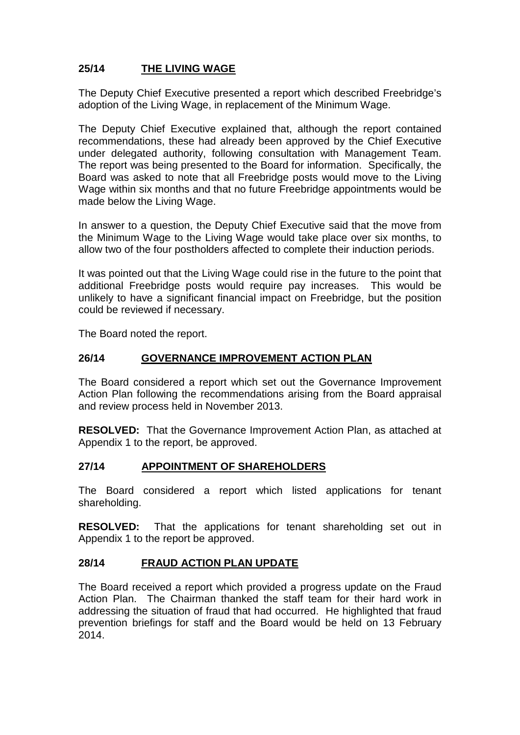# **25/14 THE LIVING WAGE**

The Deputy Chief Executive presented a report which described Freebridge's adoption of the Living Wage, in replacement of the Minimum Wage.

The Deputy Chief Executive explained that, although the report contained recommendations, these had already been approved by the Chief Executive under delegated authority, following consultation with Management Team. The report was being presented to the Board for information. Specifically, the Board was asked to note that all Freebridge posts would move to the Living Wage within six months and that no future Freebridge appointments would be made below the Living Wage.

In answer to a question, the Deputy Chief Executive said that the move from the Minimum Wage to the Living Wage would take place over six months, to allow two of the four postholders affected to complete their induction periods.

It was pointed out that the Living Wage could rise in the future to the point that additional Freebridge posts would require pay increases. This would be unlikely to have a significant financial impact on Freebridge, but the position could be reviewed if necessary.

The Board noted the report.

### **26/14 GOVERNANCE IMPROVEMENT ACTION PLAN**

The Board considered a report which set out the Governance Improvement Action Plan following the recommendations arising from the Board appraisal and review process held in November 2013.

**RESOLVED:** That the Governance Improvement Action Plan, as attached at Appendix 1 to the report, be approved.

### **27/14 APPOINTMENT OF SHAREHOLDERS**

The Board considered a report which listed applications for tenant shareholding.

**RESOLVED:** That the applications for tenant shareholding set out in Appendix 1 to the report be approved.

### **28/14 FRAUD ACTION PLAN UPDATE**

The Board received a report which provided a progress update on the Fraud Action Plan. The Chairman thanked the staff team for their hard work in addressing the situation of fraud that had occurred. He highlighted that fraud prevention briefings for staff and the Board would be held on 13 February 2014.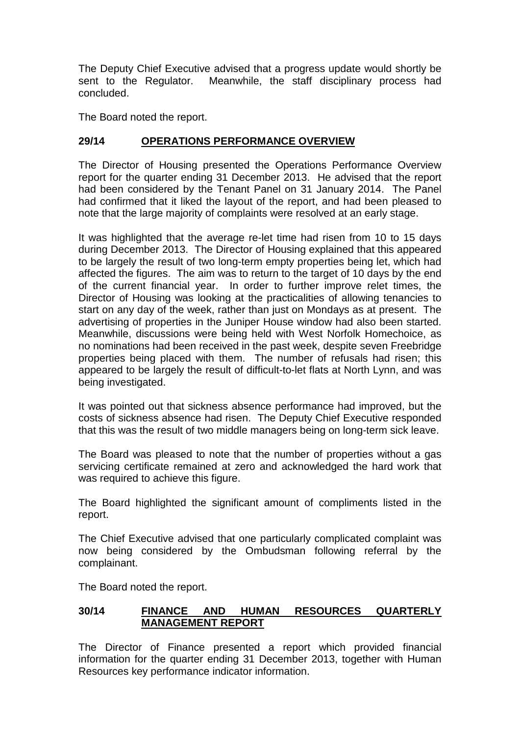The Deputy Chief Executive advised that a progress update would shortly be sent to the Regulator. Meanwhile, the staff disciplinary process had concluded.

The Board noted the report.

### **29/14 OPERATIONS PERFORMANCE OVERVIEW**

The Director of Housing presented the Operations Performance Overview report for the quarter ending 31 December 2013. He advised that the report had been considered by the Tenant Panel on 31 January 2014. The Panel had confirmed that it liked the layout of the report, and had been pleased to note that the large majority of complaints were resolved at an early stage.

It was highlighted that the average re-let time had risen from 10 to 15 days during December 2013. The Director of Housing explained that this appeared to be largely the result of two long-term empty properties being let, which had affected the figures. The aim was to return to the target of 10 days by the end of the current financial year. In order to further improve relet times, the Director of Housing was looking at the practicalities of allowing tenancies to start on any day of the week, rather than just on Mondays as at present. The advertising of properties in the Juniper House window had also been started. Meanwhile, discussions were being held with West Norfolk Homechoice, as no nominations had been received in the past week, despite seven Freebridge properties being placed with them. The number of refusals had risen; this appeared to be largely the result of difficult-to-let flats at North Lynn, and was being investigated.

It was pointed out that sickness absence performance had improved, but the costs of sickness absence had risen. The Deputy Chief Executive responded that this was the result of two middle managers being on long-term sick leave.

The Board was pleased to note that the number of properties without a gas servicing certificate remained at zero and acknowledged the hard work that was required to achieve this figure.

The Board highlighted the significant amount of compliments listed in the report.

The Chief Executive advised that one particularly complicated complaint was now being considered by the Ombudsman following referral by the complainant.

The Board noted the report.

### **30/14 FINANCE AND HUMAN RESOURCES QUARTERLY MANAGEMENT REPORT**

The Director of Finance presented a report which provided financial information for the quarter ending 31 December 2013, together with Human Resources key performance indicator information.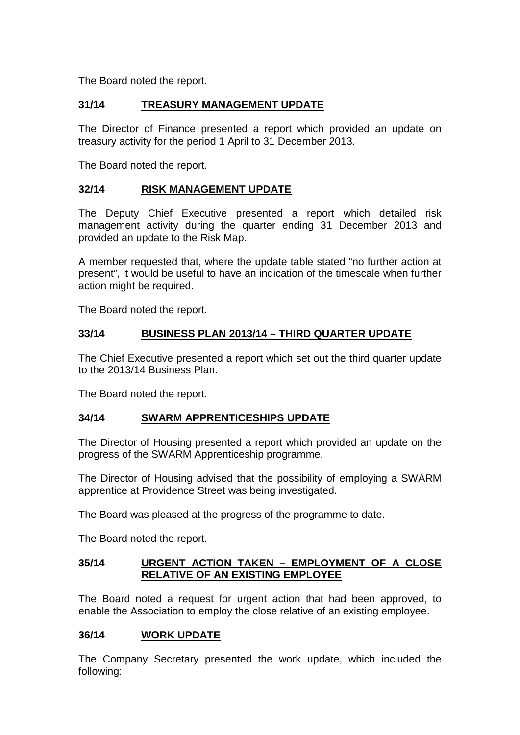The Board noted the report.

### **31/14 TREASURY MANAGEMENT UPDATE**

The Director of Finance presented a report which provided an update on treasury activity for the period 1 April to 31 December 2013.

The Board noted the report.

### **32/14 RISK MANAGEMENT UPDATE**

The Deputy Chief Executive presented a report which detailed risk management activity during the quarter ending 31 December 2013 and provided an update to the Risk Map.

A member requested that, where the update table stated "no further action at present", it would be useful to have an indication of the timescale when further action might be required.

The Board noted the report.

### **33/14 BUSINESS PLAN 2013/14 – THIRD QUARTER UPDATE**

The Chief Executive presented a report which set out the third quarter update to the 2013/14 Business Plan.

The Board noted the report.

### **34/14 SWARM APPRENTICESHIPS UPDATE**

The Director of Housing presented a report which provided an update on the progress of the SWARM Apprenticeship programme.

The Director of Housing advised that the possibility of employing a SWARM apprentice at Providence Street was being investigated.

The Board was pleased at the progress of the programme to date.

The Board noted the report.

### **35/14 URGENT ACTION TAKEN – EMPLOYMENT OF A CLOSE RELATIVE OF AN EXISTING EMPLOYEE**

The Board noted a request for urgent action that had been approved, to enable the Association to employ the close relative of an existing employee.

### **36/14 WORK UPDATE**

The Company Secretary presented the work update, which included the following: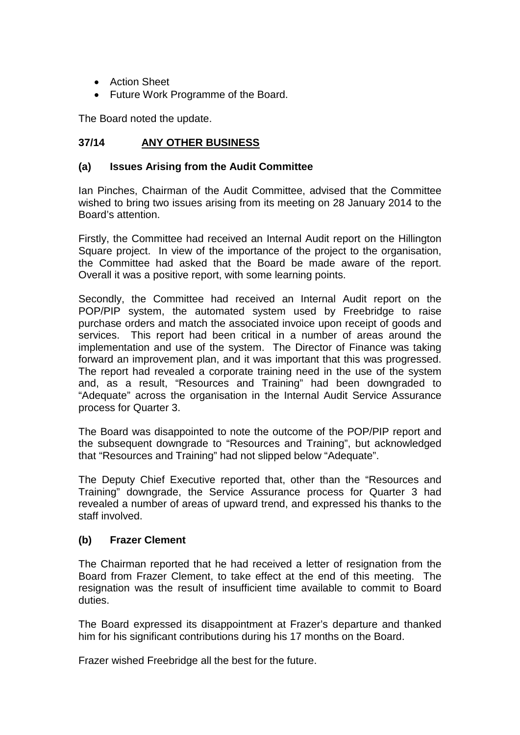- Action Sheet
- Future Work Programme of the Board.

The Board noted the update.

## **37/14 ANY OTHER BUSINESS**

### **(a) Issues Arising from the Audit Committee**

Ian Pinches, Chairman of the Audit Committee, advised that the Committee wished to bring two issues arising from its meeting on 28 January 2014 to the Board's attention.

Firstly, the Committee had received an Internal Audit report on the Hillington Square project. In view of the importance of the project to the organisation, the Committee had asked that the Board be made aware of the report. Overall it was a positive report, with some learning points.

Secondly, the Committee had received an Internal Audit report on the POP/PIP system, the automated system used by Freebridge to raise purchase orders and match the associated invoice upon receipt of goods and services. This report had been critical in a number of areas around the implementation and use of the system. The Director of Finance was taking forward an improvement plan, and it was important that this was progressed. The report had revealed a corporate training need in the use of the system and, as a result, "Resources and Training" had been downgraded to "Adequate" across the organisation in the Internal Audit Service Assurance process for Quarter 3.

The Board was disappointed to note the outcome of the POP/PIP report and the subsequent downgrade to "Resources and Training", but acknowledged that "Resources and Training" had not slipped below "Adequate".

The Deputy Chief Executive reported that, other than the "Resources and Training" downgrade, the Service Assurance process for Quarter 3 had revealed a number of areas of upward trend, and expressed his thanks to the staff involved.

### **(b) Frazer Clement**

The Chairman reported that he had received a letter of resignation from the Board from Frazer Clement, to take effect at the end of this meeting. The resignation was the result of insufficient time available to commit to Board duties.

The Board expressed its disappointment at Frazer's departure and thanked him for his significant contributions during his 17 months on the Board.

Frazer wished Freebridge all the best for the future.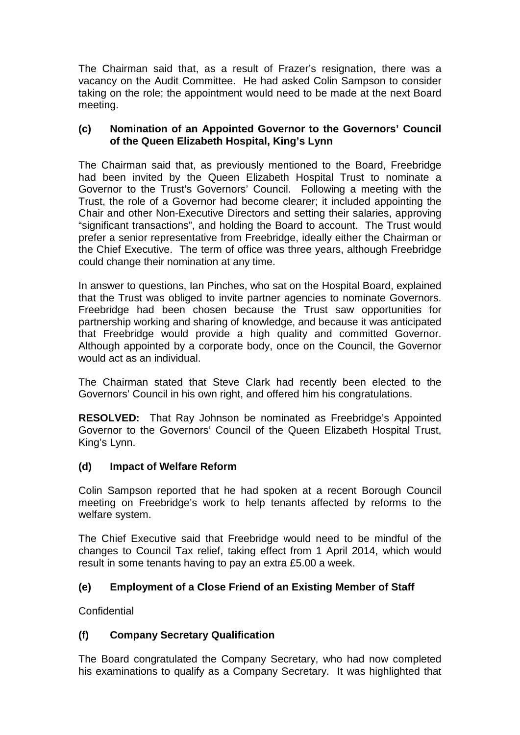The Chairman said that, as a result of Frazer's resignation, there was a vacancy on the Audit Committee. He had asked Colin Sampson to consider taking on the role; the appointment would need to be made at the next Board meeting.

### **(c) Nomination of an Appointed Governor to the Governors' Council of the Queen Elizabeth Hospital, King's Lynn**

The Chairman said that, as previously mentioned to the Board, Freebridge had been invited by the Queen Elizabeth Hospital Trust to nominate a Governor to the Trust's Governors' Council. Following a meeting with the Trust, the role of a Governor had become clearer; it included appointing the Chair and other Non-Executive Directors and setting their salaries, approving "significant transactions", and holding the Board to account. The Trust would prefer a senior representative from Freebridge, ideally either the Chairman or the Chief Executive. The term of office was three years, although Freebridge could change their nomination at any time.

In answer to questions, Ian Pinches, who sat on the Hospital Board, explained that the Trust was obliged to invite partner agencies to nominate Governors. Freebridge had been chosen because the Trust saw opportunities for partnership working and sharing of knowledge, and because it was anticipated that Freebridge would provide a high quality and committed Governor. Although appointed by a corporate body, once on the Council, the Governor would act as an individual.

The Chairman stated that Steve Clark had recently been elected to the Governors' Council in his own right, and offered him his congratulations.

**RESOLVED:** That Ray Johnson be nominated as Freebridge's Appointed Governor to the Governors' Council of the Queen Elizabeth Hospital Trust, King's Lynn.

### **(d) Impact of Welfare Reform**

Colin Sampson reported that he had spoken at a recent Borough Council meeting on Freebridge's work to help tenants affected by reforms to the welfare system.

The Chief Executive said that Freebridge would need to be mindful of the changes to Council Tax relief, taking effect from 1 April 2014, which would result in some tenants having to pay an extra £5.00 a week.

### **(e) Employment of a Close Friend of an Existing Member of Staff**

**Confidential** 

# **(f) Company Secretary Qualification**

The Board congratulated the Company Secretary, who had now completed his examinations to qualify as a Company Secretary. It was highlighted that